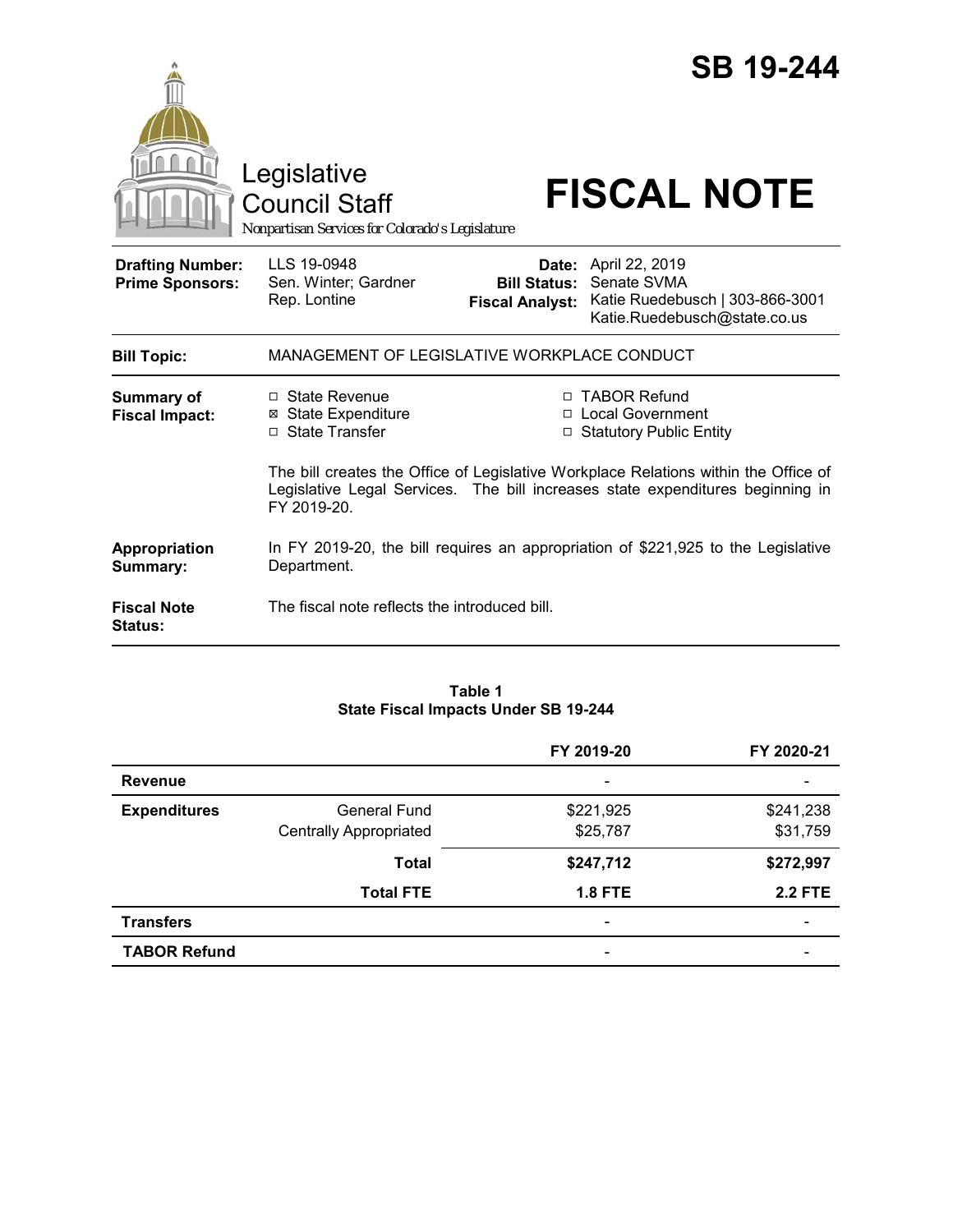|                                                   | Legislative<br>Council Staff<br>Nonpartisan Services for Colorado's Legislature  |                        | <b>SB 19-244</b><br><b>FISCAL NOTE</b>                                                                                                                                                                                                          |
|---------------------------------------------------|----------------------------------------------------------------------------------|------------------------|-------------------------------------------------------------------------------------------------------------------------------------------------------------------------------------------------------------------------------------------------|
| <b>Drafting Number:</b><br><b>Prime Sponsors:</b> | LLS 19-0948<br>Sen. Winter; Gardner<br>Rep. Lontine                              | <b>Fiscal Analyst:</b> | Date: April 22, 2019<br><b>Bill Status: Senate SVMA</b><br>Katie Ruedebusch   303-866-3001<br>Katie.Ruedebusch@state.co.us                                                                                                                      |
| <b>Bill Topic:</b>                                | MANAGEMENT OF LEGISLATIVE WORKPLACE CONDUCT                                      |                        |                                                                                                                                                                                                                                                 |
| <b>Summary of</b><br><b>Fiscal Impact:</b>        | □ State Revenue<br><b>⊠ State Expenditure</b><br>□ State Transfer<br>FY 2019-20. | п.                     | <b>TABOR Refund</b><br>□ Local Government<br>□ Statutory Public Entity<br>The bill creates the Office of Legislative Workplace Relations within the Office of<br>Legislative Legal Services. The bill increases state expenditures beginning in |
| Appropriation<br>Summary:                         | Department.                                                                      |                        | In FY 2019-20, the bill requires an appropriation of \$221,925 to the Legislative                                                                                                                                                               |
| <b>Fiscal Note</b><br><b>Status:</b>              | The fiscal note reflects the introduced bill.                                    |                        |                                                                                                                                                                                                                                                 |

#### **Table 1 State Fiscal Impacts Under SB 19-244**

|                     |                               | FY 2019-20                   | FY 2020-21     |
|---------------------|-------------------------------|------------------------------|----------------|
| <b>Revenue</b>      |                               |                              |                |
| <b>Expenditures</b> | <b>General Fund</b>           | \$221,925                    | \$241,238      |
|                     | <b>Centrally Appropriated</b> | \$25,787                     | \$31,759       |
|                     | <b>Total</b>                  | \$247,712                    | \$272,997      |
|                     | <b>Total FTE</b>              | <b>1.8 FTE</b>               | <b>2.2 FTE</b> |
| <b>Transfers</b>    |                               | $\qquad \qquad \blacksquare$ |                |
| <b>TABOR Refund</b> |                               |                              |                |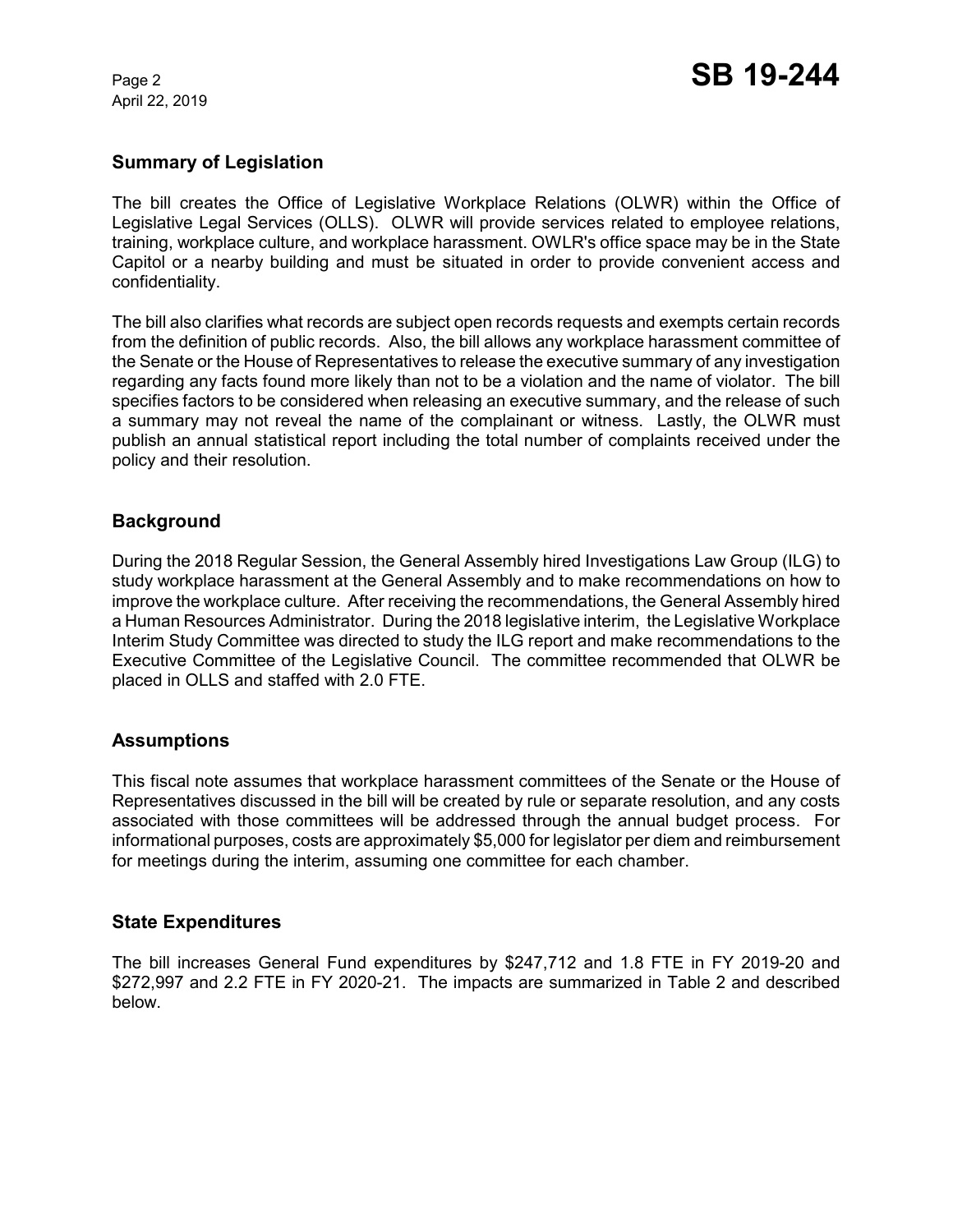April 22, 2019

# **Summary of Legislation**

The bill creates the Office of Legislative Workplace Relations (OLWR) within the Office of Legislative Legal Services (OLLS). OLWR will provide services related to employee relations, training, workplace culture, and workplace harassment. OWLR's office space may be in the State Capitol or a nearby building and must be situated in order to provide convenient access and confidentiality.

The bill also clarifies what records are subject open records requests and exempts certain records from the definition of public records. Also, the bill allows any workplace harassment committee of the Senate or the House of Representatives to release the executive summary of any investigation regarding any facts found more likely than not to be a violation and the name of violator. The bill specifies factors to be considered when releasing an executive summary, and the release of such a summary may not reveal the name of the complainant or witness. Lastly, the OLWR must publish an annual statistical report including the total number of complaints received under the policy and their resolution.

# **Background**

During the 2018 Regular Session, the General Assembly hired Investigations Law Group (ILG) to study workplace harassment at the General Assembly and to make recommendations on how to improve the workplace culture. After receiving the recommendations, the General Assembly hired a Human Resources Administrator. During the 2018 legislative interim, the Legislative Workplace Interim Study Committee was directed to study the ILG report and make recommendations to the Executive Committee of the Legislative Council. The committee recommended that OLWR be placed in OLLS and staffed with 2.0 FTE.

### **Assumptions**

This fiscal note assumes that workplace harassment committees of the Senate or the House of Representatives discussed in the bill will be created by rule or separate resolution, and any costs associated with those committees will be addressed through the annual budget process. For informational purposes, costs are approximately \$5,000 for legislator per diem and reimbursement for meetings during the interim, assuming one committee for each chamber.

### **State Expenditures**

The bill increases General Fund expenditures by \$247,712 and 1.8 FTE in FY 2019-20 and \$272,997 and 2.2 FTE in FY 2020-21. The impacts are summarized in Table 2 and described below.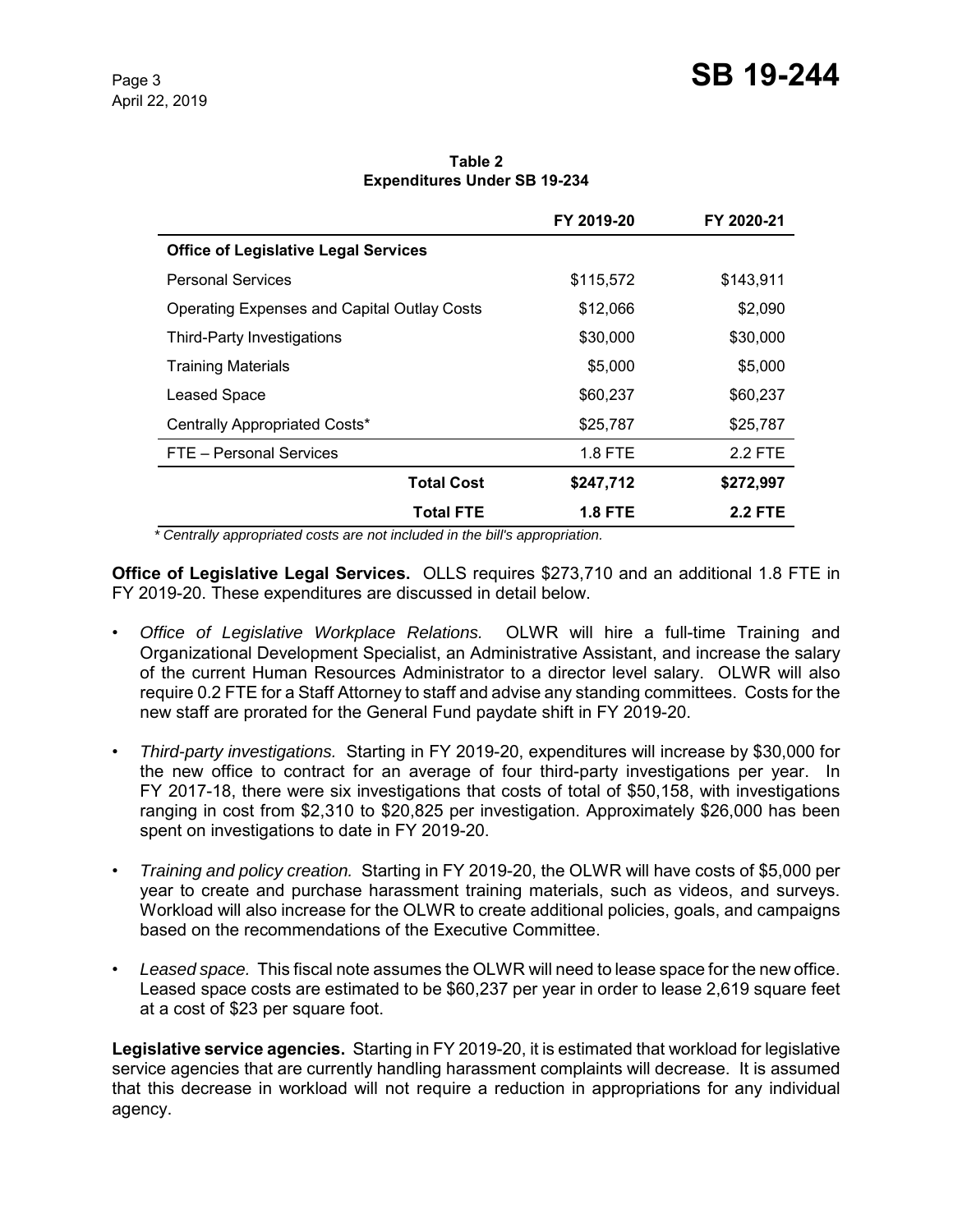**Table 2 Expenditures Under SB 19-234**

|                                                    | FY 2019-20     | FY 2020-21     |
|----------------------------------------------------|----------------|----------------|
| <b>Office of Legislative Legal Services</b>        |                |                |
| <b>Personal Services</b>                           | \$115,572      | \$143,911      |
| <b>Operating Expenses and Capital Outlay Costs</b> | \$12,066       | \$2,090        |
| Third-Party Investigations                         | \$30,000       | \$30,000       |
| <b>Training Materials</b>                          | \$5,000        | \$5,000        |
| Leased Space                                       | \$60,237       | \$60,237       |
| Centrally Appropriated Costs*                      | \$25,787       | \$25,787       |
| FTE - Personal Services                            | 1.8 FTE        | 2.2 FTE        |
| <b>Total Cost</b>                                  | \$247,712      | \$272,997      |
| <b>Total FTE</b>                                   | <b>1.8 FTE</b> | <b>2.2 FTE</b> |

 *\* Centrally appropriated costs are not included in the bill's appropriation.*

**Office of Legislative Legal Services.** OLLS requires \$273,710 and an additional 1.8 FTE in FY 2019-20. These expenditures are discussed in detail below.

- *Office of Legislative Workplace Relations.* OLWR will hire a full-time Training and Organizational Development Specialist, an Administrative Assistant, and increase the salary of the current Human Resources Administrator to a director level salary. OLWR will also require 0.2 FTE for a Staff Attorney to staff and advise any standing committees. Costs for the new staff are prorated for the General Fund paydate shift in FY 2019-20.
- *Third-party investigations.* Starting in FY 2019-20, expenditures will increase by \$30,000 for the new office to contract for an average of four third-party investigations per year. In FY 2017-18, there were six investigations that costs of total of \$50,158, with investigations ranging in cost from \$2,310 to \$20,825 per investigation. Approximately \$26,000 has been spent on investigations to date in FY 2019-20.
- *Training and policy creation.* Starting in FY 2019-20, the OLWR will have costs of \$5,000 per year to create and purchase harassment training materials, such as videos, and surveys. Workload will also increase for the OLWR to create additional policies, goals, and campaigns based on the recommendations of the Executive Committee.
- *Leased space.* This fiscal note assumes the OLWR will need to lease space for the new office. Leased space costs are estimated to be \$60,237 per year in order to lease 2,619 square feet at a cost of \$23 per square foot.

**Legislative service agencies.** Starting in FY 2019-20, it is estimated that workload for legislative service agencies that are currently handling harassment complaints will decrease. It is assumed that this decrease in workload will not require a reduction in appropriations for any individual agency.